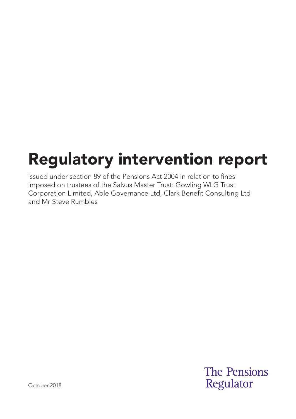# Regulatory intervention report

issued under section 89 of the Pensions Act 2004 in relation to fines imposed on trustees of the Salvus Master Trust: Gowling WLG Trust Corporation Limited, Able Governance Ltd, Clark Benefit Consulting Ltd and Mr Steve Rumbles

> **The Pensions** Regulator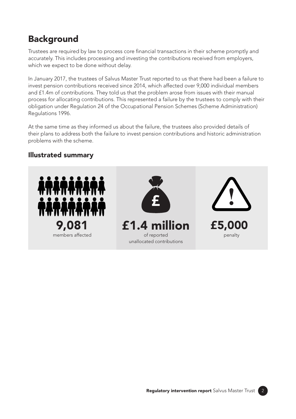## **Background**

Trustees are required by law to process core financial transactions in their scheme promptly and accurately. This includes processing and investing the contributions received from employers, which we expect to be done without delay.

In January 2017, the trustees of Salvus Master Trust reported to us that there had been a failure to invest pension contributions received since 2014, which affected over 9,000 individual members and £1.4m of contributions. They told us that the problem arose from issues with their manual process for allocating contributions. This represented a failure by the trustees to comply with their obligation under Regulation 24 of the Occupational Pension Schemes (Scheme Administration) Regulations 1996.

At the same time as they informed us about the failure, the trustees also provided details of their plans to address both the failure to invest pension contributions and historic administration problems with the scheme.

#### Illustrated summary







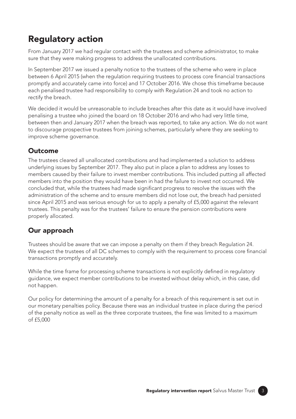# Regulatory action

From January 2017 we had regular contact with the trustees and scheme administrator, to make sure that they were making progress to address the unallocated contributions.

In September 2017 we issued a penalty notice to the trustees of the scheme who were in place between 6 April 2015 (when the regulation requiring trustees to process core financial transactions promptly and accurately came into force) and 17 October 2016. We chose this timeframe because each penalised trustee had responsibility to comply with Regulation 24 and took no action to rectify the breach.

We decided it would be unreasonable to include breaches after this date as it would have involved penalising a trustee who joined the board on 18 October 2016 and who had very little time, between then and January 2017 when the breach was reported, to take any action. We do not want to discourage prospective trustees from joining schemes, particularly where they are seeking to improve scheme governance.

### **Outcome**

The trustees cleared all unallocated contributions and had implemented a solution to address underlying issues by September 2017. They also put in place a plan to address any losses to members caused by their failure to invest member contributions. This included putting all affected members into the position they would have been in had the failure to invest not occurred. We concluded that, while the trustees had made significant progress to resolve the issues with the administration of the scheme and to ensure members did not lose out, the breach had persisted since April 2015 and was serious enough for us to apply a penalty of £5,000 against the relevant trustees. This penalty was for the trustees' failure to ensure the pension contributions were properly allocated.

#### Our approach

Trustees should be aware that we can impose a penalty on them if they breach Regulation 24. We expect the trustees of all DC schemes to comply with the requirement to process core financial transactions promptly and accurately.

While the time frame for processing scheme transactions is not explicitly defined in regulatory guidance, we expect member contributions to be invested without delay which, in this case, did not happen.

Our policy for determining the amount of a penalty for a breach of this requirement is set out in our monetary penalties policy. Because there was an individual trustee in place during the period of the penalty notice as well as the three corporate trustees, the fine was limited to a maximum of £5,000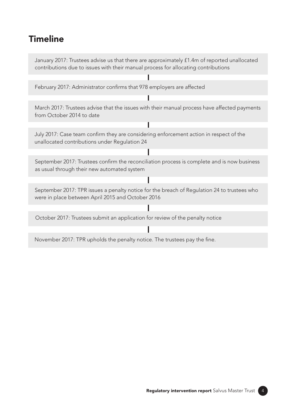# **Timeline**

January 2017: Trustees advise us that there are approximately £1.4m of reported unallocated contributions due to issues with their manual process for allocating contributions

February 2017: Administrator confirms that 978 employers are affected

March 2017: Trustees advise that the issues with their manual process have affected payments from October 2014 to date

Ī

July 2017: Case team confirm they are considering enforcement action in respect of the unallocated contributions under Regulation 24

September 2017: Trustees confirm the reconciliation process is complete and is now business as usual through their new automated system

September 2017: TPR issues a penalty notice for the breach of Regulation 24 to trustees who were in place between April 2015 and October 2016

October 2017: Trustees submit an application for review of the penalty notice

November 2017: TPR upholds the penalty notice. The trustees pay the fine.